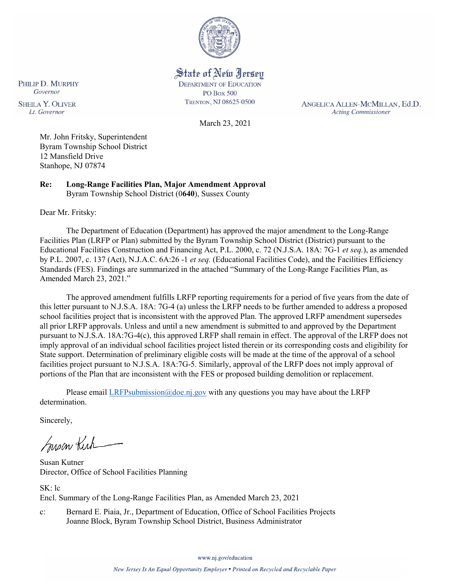

State of New Jersey **DEPARTMENT OF EDUCATION PO Box 500** TRENTON, NJ 08625-0500

ANGELICA ALLEN-MCMILLAN, Ed.D. **Acting Commissioner** 

March 23, 2021

Mr. John Fritsky, Superintendent Byram Township School District 12 Mansfield Drive Stanhope, NJ 07874

**Re: Long-Range Facilities Plan, Major Amendment Approval**  Byram Township School District (0**640**), Sussex County

Dear Mr. Fritsky:

PHILIP D. MURPHY Governor

**SHEILA Y. OLIVER** 

Lt. Governor

The Department of Education (Department) has approved the major amendment to the Long-Range Facilities Plan (LRFP or Plan) submitted by the Byram Township School District (District) pursuant to the Educational Facilities Construction and Financing Act, P.L. 2000, c. 72 (N.J.S.A. 18A: 7G-1 *et seq.*), as amended by P.L. 2007, c. 137 (Act), N.J.A.C. 6A:26 -1 *et seq.* (Educational Facilities Code), and the Facilities Efficiency Standards (FES). Findings are summarized in the attached "Summary of the Long-Range Facilities Plan, as Amended March 23, 2021."

The approved amendment fulfills LRFP reporting requirements for a period of five years from the date of this letter pursuant to N.J.S.A. 18A: 7G-4 (a) unless the LRFP needs to be further amended to address a proposed school facilities project that is inconsistent with the approved Plan. The approved LRFP amendment supersedes all prior LRFP approvals. Unless and until a new amendment is submitted to and approved by the Department pursuant to N.J.S.A. 18A:7G-4(c), this approved LRFP shall remain in effect. The approval of the LRFP does not imply approval of an individual school facilities project listed therein or its corresponding costs and eligibility for State support. Determination of preliminary eligible costs will be made at the time of the approval of a school facilities project pursuant to N.J.S.A. 18A:7G-5. Similarly, approval of the LRFP does not imply approval of portions of the Plan that are inconsistent with the FES or proposed building demolition or replacement.

Please email [LRFPsubmission@doe.nj.gov](mailto:LRFPsubmission@doe.nj.gov) with any questions you may have about the LRFP determination.

Sincerely,

Susan Kich

Susan Kutner Director, Office of School Facilities Planning

SK: lc Encl. Summary of the Long-Range Facilities Plan, as Amended March 23, 2021

c: Bernard E. Piaia, Jr., Department of Education, Office of School Facilities Projects Joanne Block, Byram Township School District, Business Administrator

www.nj.gov/education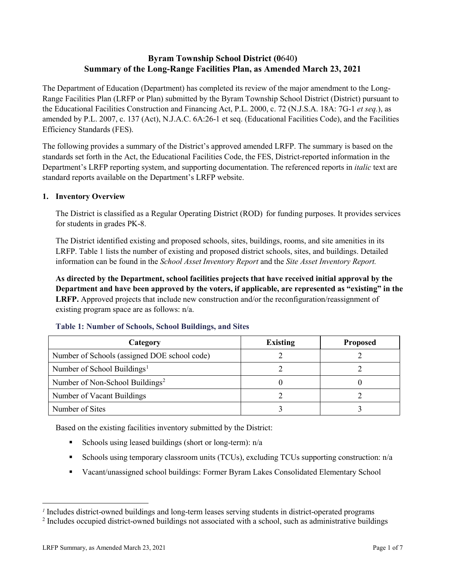# **Byram Township School District (0**640**) Summary of the Long-Range Facilities Plan, as Amended March 23, 2021**

The Department of Education (Department) has completed its review of the major amendment to the Long-Range Facilities Plan (LRFP or Plan) submitted by the Byram Township School District (District) pursuant to the Educational Facilities Construction and Financing Act, P.L. 2000, c. 72 (N.J.S.A. 18A: 7G-1 *et seq.*), as amended by P.L. 2007, c. 137 (Act), N.J.A.C. 6A:26-1 et seq. (Educational Facilities Code), and the Facilities Efficiency Standards (FES).

The following provides a summary of the District's approved amended LRFP. The summary is based on the standards set forth in the Act, the Educational Facilities Code, the FES, District-reported information in the Department's LRFP reporting system, and supporting documentation. The referenced reports in *italic* text are standard reports available on the Department's LRFP website.

#### **1. Inventory Overview**

The District is classified as a Regular Operating District (ROD) for funding purposes. It provides services for students in grades PK-8.

The District identified existing and proposed schools, sites, buildings, rooms, and site amenities in its LRFP. Table 1 lists the number of existing and proposed district schools, sites, and buildings. Detailed information can be found in the *School Asset Inventory Report* and the *Site Asset Inventory Report.*

**As directed by the Department, school facilities projects that have received initial approval by the Department and have been approved by the voters, if applicable, are represented as "existing" in the LRFP.** Approved projects that include new construction and/or the reconfiguration/reassignment of existing program space are as follows: n/a.

| Category                                     | <b>Existing</b> | <b>Proposed</b> |
|----------------------------------------------|-----------------|-----------------|
| Number of Schools (assigned DOE school code) |                 |                 |
| Number of School Buildings <sup>1</sup>      |                 |                 |
| Number of Non-School Buildings <sup>2</sup>  |                 |                 |
| Number of Vacant Buildings                   |                 |                 |
| Number of Sites                              |                 |                 |

#### **Table 1: Number of Schools, School Buildings, and Sites**

Based on the existing facilities inventory submitted by the District:

- Schools using leased buildings (short or long-term):  $n/a$
- Schools using temporary classroom units (TCUs), excluding TCUs supporting construction:  $n/a$
- Vacant/unassigned school buildings: Former Byram Lakes Consolidated Elementary School

 $\overline{a}$ 

<span id="page-1-1"></span><span id="page-1-0"></span>*<sup>1</sup>* Includes district-owned buildings and long-term leases serving students in district-operated programs

<sup>&</sup>lt;sup>2</sup> Includes occupied district-owned buildings not associated with a school, such as administrative buildings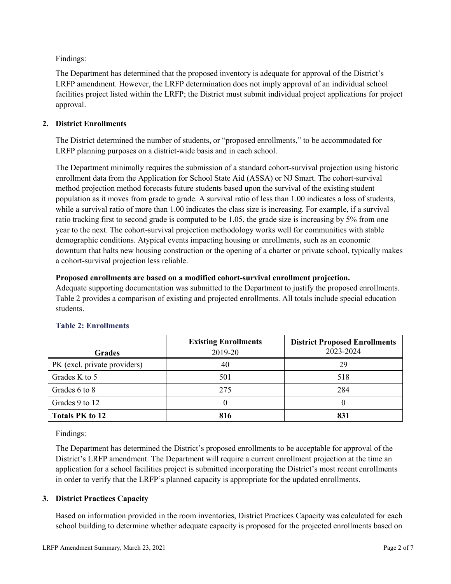Findings:

The Department has determined that the proposed inventory is adequate for approval of the District's LRFP amendment. However, the LRFP determination does not imply approval of an individual school facilities project listed within the LRFP; the District must submit individual project applications for project approval.

### **2. District Enrollments**

The District determined the number of students, or "proposed enrollments," to be accommodated for LRFP planning purposes on a district-wide basis and in each school.

The Department minimally requires the submission of a standard cohort-survival projection using historic enrollment data from the Application for School State Aid (ASSA) or NJ Smart. The cohort-survival method projection method forecasts future students based upon the survival of the existing student population as it moves from grade to grade. A survival ratio of less than 1.00 indicates a loss of students, while a survival ratio of more than 1.00 indicates the class size is increasing. For example, if a survival ratio tracking first to second grade is computed to be 1.05, the grade size is increasing by 5% from one year to the next. The cohort-survival projection methodology works well for communities with stable demographic conditions. Atypical events impacting housing or enrollments, such as an economic downturn that halts new housing construction or the opening of a charter or private school, typically makes a cohort-survival projection less reliable.

### **Proposed enrollments are based on a modified cohort-survival enrollment projection.**

Adequate supporting documentation was submitted to the Department to justify the proposed enrollments. Table 2 provides a comparison of existing and projected enrollments. All totals include special education students.

|                              | <b>Existing Enrollments</b> | <b>District Proposed Enrollments</b> |
|------------------------------|-----------------------------|--------------------------------------|
| <b>Grades</b>                | 2019-20                     | 2023-2024                            |
| PK (excl. private providers) | 40                          | 29                                   |
| Grades K to 5                | 501                         | 518                                  |
| Grades 6 to 8                | 275                         | 284                                  |
| Grades 9 to 12               |                             |                                      |
| <b>Totals PK to 12</b>       | 816                         | 831                                  |

# **Table 2: Enrollments**

Findings:

The Department has determined the District's proposed enrollments to be acceptable for approval of the District's LRFP amendment. The Department will require a current enrollment projection at the time an application for a school facilities project is submitted incorporating the District's most recent enrollments in order to verify that the LRFP's planned capacity is appropriate for the updated enrollments.

# **3. District Practices Capacity**

Based on information provided in the room inventories, District Practices Capacity was calculated for each school building to determine whether adequate capacity is proposed for the projected enrollments based on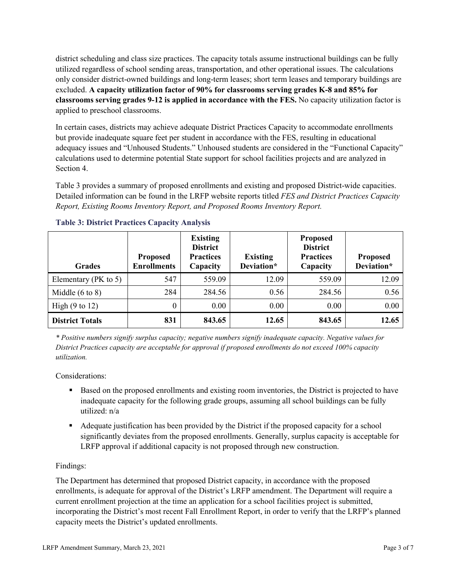district scheduling and class size practices. The capacity totals assume instructional buildings can be fully utilized regardless of school sending areas, transportation, and other operational issues. The calculations only consider district-owned buildings and long-term leases; short term leases and temporary buildings are excluded. **A capacity utilization factor of 90% for classrooms serving grades K-8 and 85% for classrooms serving grades 9-12 is applied in accordance with the FES.** No capacity utilization factor is applied to preschool classrooms.

In certain cases, districts may achieve adequate District Practices Capacity to accommodate enrollments but provide inadequate square feet per student in accordance with the FES, resulting in educational adequacy issues and "Unhoused Students." Unhoused students are considered in the "Functional Capacity" calculations used to determine potential State support for school facilities projects and are analyzed in Section 4.

Table 3 provides a summary of proposed enrollments and existing and proposed District-wide capacities. Detailed information can be found in the LRFP website reports titled *FES and District Practices Capacity Report, Existing Rooms Inventory Report, and Proposed Rooms Inventory Report.*

| <b>Grades</b>              | <b>Proposed</b><br><b>Enrollments</b> | <b>Existing</b><br><b>District</b><br><b>Practices</b><br>Capacity | <b>Existing</b><br>Deviation* | <b>Proposed</b><br><b>District</b><br><b>Practices</b><br>Capacity | <b>Proposed</b><br>Deviation* |
|----------------------------|---------------------------------------|--------------------------------------------------------------------|-------------------------------|--------------------------------------------------------------------|-------------------------------|
| Elementary ( $PK$ to 5)    | 547                                   | 559.09                                                             | 12.09                         | 559.09                                                             | 12.09                         |
| Middle $(6 \text{ to } 8)$ | 284                                   | 284.56                                                             | 0.56                          | 284.56                                                             | 0.56                          |
| High $(9 \text{ to } 12)$  | 0                                     | 0.00                                                               | 0.00                          | 0.00                                                               | 0.00                          |
| <b>District Totals</b>     | 831                                   | 843.65                                                             | 12.65                         | 843.65                                                             | 12.65                         |

|  |  | <b>Table 3: District Practices Capacity Analysis</b> |  |  |
|--|--|------------------------------------------------------|--|--|
|--|--|------------------------------------------------------|--|--|

*\* Positive numbers signify surplus capacity; negative numbers signify inadequate capacity. Negative values for District Practices capacity are acceptable for approval if proposed enrollments do not exceed 100% capacity utilization.*

Considerations:

- **Based on the proposed enrollments and existing room inventories, the District is projected to have** inadequate capacity for the following grade groups, assuming all school buildings can be fully utilized: n/a
- Adequate justification has been provided by the District if the proposed capacity for a school significantly deviates from the proposed enrollments. Generally, surplus capacity is acceptable for LRFP approval if additional capacity is not proposed through new construction.

# Findings:

The Department has determined that proposed District capacity, in accordance with the proposed enrollments, is adequate for approval of the District's LRFP amendment. The Department will require a current enrollment projection at the time an application for a school facilities project is submitted, incorporating the District's most recent Fall Enrollment Report, in order to verify that the LRFP's planned capacity meets the District's updated enrollments.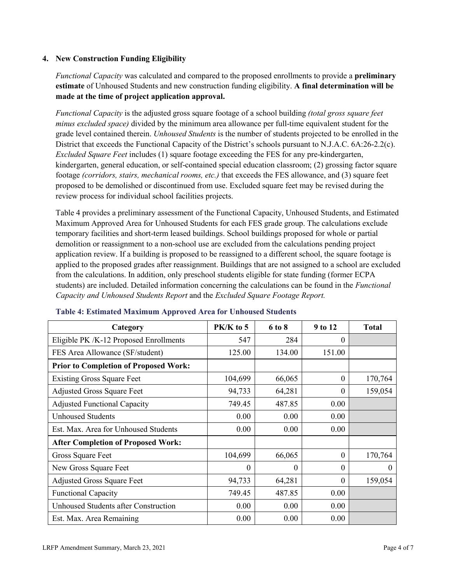### **4. New Construction Funding Eligibility**

*Functional Capacity* was calculated and compared to the proposed enrollments to provide a **preliminary estimate** of Unhoused Students and new construction funding eligibility. **A final determination will be made at the time of project application approval.**

*Functional Capacity* is the adjusted gross square footage of a school building *(total gross square feet minus excluded space)* divided by the minimum area allowance per full-time equivalent student for the grade level contained therein. *Unhoused Students* is the number of students projected to be enrolled in the District that exceeds the Functional Capacity of the District's schools pursuant to N.J.A.C. 6A:26-2.2(c). *Excluded Square Feet* includes (1) square footage exceeding the FES for any pre-kindergarten, kindergarten, general education, or self-contained special education classroom; (2) grossing factor square footage *(corridors, stairs, mechanical rooms, etc.)* that exceeds the FES allowance, and (3) square feet proposed to be demolished or discontinued from use. Excluded square feet may be revised during the review process for individual school facilities projects.

Table 4 provides a preliminary assessment of the Functional Capacity, Unhoused Students, and Estimated Maximum Approved Area for Unhoused Students for each FES grade group. The calculations exclude temporary facilities and short-term leased buildings. School buildings proposed for whole or partial demolition or reassignment to a non-school use are excluded from the calculations pending project application review. If a building is proposed to be reassigned to a different school, the square footage is applied to the proposed grades after reassignment. Buildings that are not assigned to a school are excluded from the calculations. In addition, only preschool students eligible for state funding (former ECPA students) are included. Detailed information concerning the calculations can be found in the *Functional Capacity and Unhoused Students Report* and the *Excluded Square Footage Report.*

| Category                                     | PK/K to 5 | 6 to 8   | 9 to 12  | <b>Total</b> |
|----------------------------------------------|-----------|----------|----------|--------------|
| Eligible PK /K-12 Proposed Enrollments       | 547       | 284      | 0        |              |
| FES Area Allowance (SF/student)              | 125.00    | 134.00   | 151.00   |              |
| <b>Prior to Completion of Proposed Work:</b> |           |          |          |              |
| <b>Existing Gross Square Feet</b>            | 104,699   | 66,065   | $\theta$ | 170,764      |
| <b>Adjusted Gross Square Feet</b>            | 94,733    | 64,281   | $\theta$ | 159,054      |
| <b>Adjusted Functional Capacity</b>          | 749.45    | 487.85   | 0.00     |              |
| <b>Unhoused Students</b>                     | 0.00      | 0.00     | 0.00     |              |
| Est. Max. Area for Unhoused Students         | 0.00      | 0.00     | 0.00     |              |
| <b>After Completion of Proposed Work:</b>    |           |          |          |              |
| Gross Square Feet                            | 104,699   | 66,065   | $\theta$ | 170,764      |
| New Gross Square Feet                        | $\theta$  | $\Omega$ | $\Omega$ | 0            |
| <b>Adjusted Gross Square Feet</b>            | 94,733    | 64,281   | $\Omega$ | 159,054      |
| <b>Functional Capacity</b>                   | 749.45    | 487.85   | 0.00     |              |
| <b>Unhoused Students after Construction</b>  | 0.00      | 0.00     | 0.00     |              |
| Est. Max. Area Remaining                     | 0.00      | 0.00     | 0.00     |              |

#### **Table 4: Estimated Maximum Approved Area for Unhoused Students**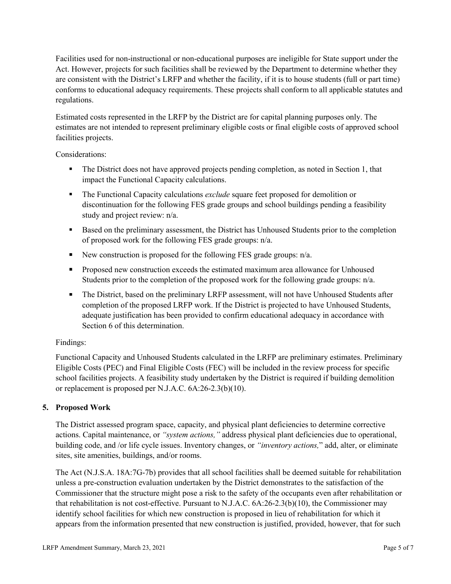Facilities used for non-instructional or non-educational purposes are ineligible for State support under the Act. However, projects for such facilities shall be reviewed by the Department to determine whether they are consistent with the District's LRFP and whether the facility, if it is to house students (full or part time) conforms to educational adequacy requirements. These projects shall conform to all applicable statutes and regulations.

Estimated costs represented in the LRFP by the District are for capital planning purposes only. The estimates are not intended to represent preliminary eligible costs or final eligible costs of approved school facilities projects.

Considerations:

- The District does not have approved projects pending completion, as noted in Section 1, that impact the Functional Capacity calculations.
- **The Functional Capacity calculations** *exclude* square feet proposed for demolition or discontinuation for the following FES grade groups and school buildings pending a feasibility study and project review: n/a.
- Based on the preliminary assessment, the District has Unhoused Students prior to the completion of proposed work for the following FES grade groups: n/a.
- New construction is proposed for the following FES grade groups: n/a.
- Proposed new construction exceeds the estimated maximum area allowance for Unhoused Students prior to the completion of the proposed work for the following grade groups: n/a.
- The District, based on the preliminary LRFP assessment, will not have Unhoused Students after completion of the proposed LRFP work. If the District is projected to have Unhoused Students, adequate justification has been provided to confirm educational adequacy in accordance with Section 6 of this determination.

### Findings:

Functional Capacity and Unhoused Students calculated in the LRFP are preliminary estimates. Preliminary Eligible Costs (PEC) and Final Eligible Costs (FEC) will be included in the review process for specific school facilities projects. A feasibility study undertaken by the District is required if building demolition or replacement is proposed per N.J.A.C. 6A:26-2.3(b)(10).

# **5. Proposed Work**

The District assessed program space, capacity, and physical plant deficiencies to determine corrective actions. Capital maintenance, or *"system actions,"* address physical plant deficiencies due to operational, building code, and /or life cycle issues. Inventory changes, or *"inventory actions,*" add, alter, or eliminate sites, site amenities, buildings, and/or rooms.

The Act (N.J.S.A. 18A:7G-7b) provides that all school facilities shall be deemed suitable for rehabilitation unless a pre-construction evaluation undertaken by the District demonstrates to the satisfaction of the Commissioner that the structure might pose a risk to the safety of the occupants even after rehabilitation or that rehabilitation is not cost-effective. Pursuant to N.J.A.C. 6A:26-2.3(b)(10), the Commissioner may identify school facilities for which new construction is proposed in lieu of rehabilitation for which it appears from the information presented that new construction is justified, provided, however, that for such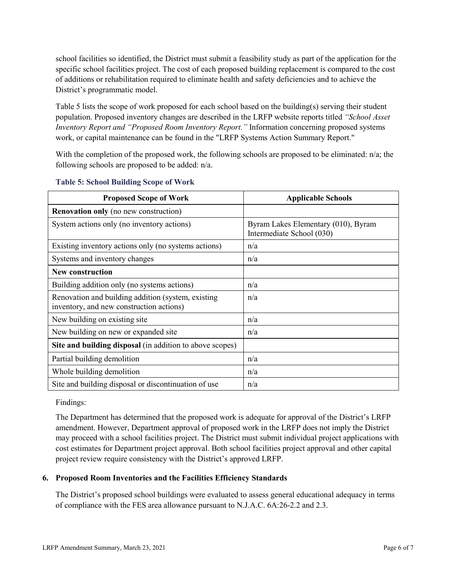school facilities so identified, the District must submit a feasibility study as part of the application for the specific school facilities project. The cost of each proposed building replacement is compared to the cost of additions or rehabilitation required to eliminate health and safety deficiencies and to achieve the District's programmatic model.

Table 5 lists the scope of work proposed for each school based on the building(s) serving their student population. Proposed inventory changes are described in the LRFP website reports titled *"School Asset Inventory Report and "Proposed Room Inventory Report."* Information concerning proposed systems work, or capital maintenance can be found in the "LRFP Systems Action Summary Report."

With the completion of the proposed work, the following schools are proposed to be eliminated:  $n/a$ ; the following schools are proposed to be added: n/a.

| <b>Proposed Scope of Work</b>                                                                  | <b>Applicable Schools</b>                                        |
|------------------------------------------------------------------------------------------------|------------------------------------------------------------------|
| <b>Renovation only</b> (no new construction)                                                   |                                                                  |
| System actions only (no inventory actions)                                                     | Byram Lakes Elementary (010), Byram<br>Intermediate School (030) |
| Existing inventory actions only (no systems actions)                                           | n/a                                                              |
| Systems and inventory changes                                                                  | n/a                                                              |
| <b>New construction</b>                                                                        |                                                                  |
| Building addition only (no systems actions)                                                    | n/a                                                              |
| Renovation and building addition (system, existing<br>inventory, and new construction actions) | n/a                                                              |
| New building on existing site                                                                  | n/a                                                              |
| New building on new or expanded site                                                           | n/a                                                              |
| Site and building disposal (in addition to above scopes)                                       |                                                                  |
| Partial building demolition                                                                    | n/a                                                              |
| Whole building demolition                                                                      | n/a                                                              |
| Site and building disposal or discontinuation of use                                           | n/a                                                              |

#### **Table 5: School Building Scope of Work**

Findings:

The Department has determined that the proposed work is adequate for approval of the District's LRFP amendment. However, Department approval of proposed work in the LRFP does not imply the District may proceed with a school facilities project. The District must submit individual project applications with cost estimates for Department project approval. Both school facilities project approval and other capital project review require consistency with the District's approved LRFP.

### **6. Proposed Room Inventories and the Facilities Efficiency Standards**

The District's proposed school buildings were evaluated to assess general educational adequacy in terms of compliance with the FES area allowance pursuant to N.J.A.C. 6A:26-2.2 and 2.3.